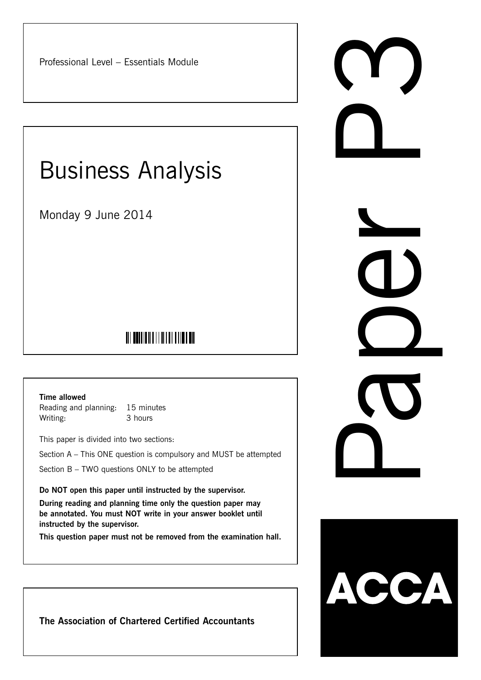Professional Level – Essentials Module

# Business Analysis

Monday 9 June 2014

## <u> Ali bonina ali ili ini alia ani</u>

Paper Paper

XCA

 $\Delta$ 

#### **Time allowed**

Reading and planning: 15 minutes Writing: 3 hours

This paper is divided into two sections:

Section A – This ONE question is compulsory and MUST be attempted

Section B – TWO questions ONLY to be attempted

**Do NOT open this paper until instructed by the supervisor.**

**During reading and planning time only the question paper may be annotated. You must NOT write in your answer booklet until instructed by the supervisor.**

**This question paper must not be removed from the examination hall.**

### **The Association of Chartered Certified Accountants**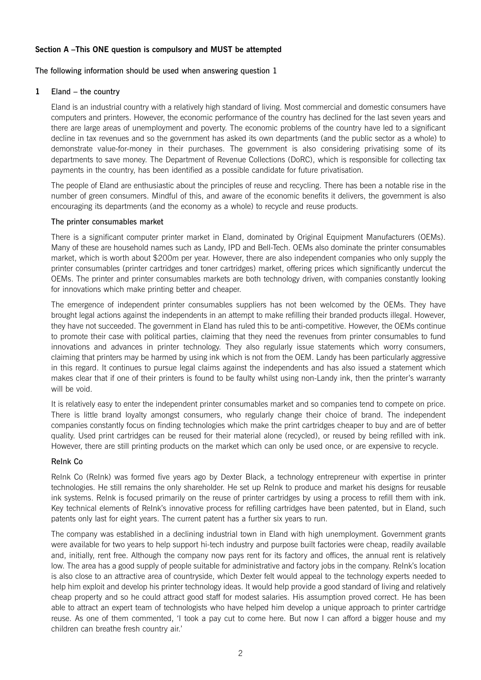#### **Section A –This ONE question is compulsory and MUST be attempted**

#### The following information should be used when answering question 1

#### **1** Eland – the country

Eland is an industrial country with a relatively high standard of living. Most commercial and domestic consumers have computers and printers. However, the economic performance of the country has declined for the last seven years and there are large areas of unemployment and poverty. The economic problems of the country have led to a significant decline in tax revenues and so the government has asked its own departments (and the public sector as a whole) to demonstrate value-for-money in their purchases. The government is also considering privatising some of its departments to save money. The Department of Revenue Collections (DoRC), which is responsible for collecting tax payments in the country, has been identified as a possible candidate for future privatisation.

The people of Eland are enthusiastic about the principles of reuse and recycling. There has been a notable rise in the number of green consumers. Mindful of this, and aware of the economic benefits it delivers, the government is also encouraging its departments (and the economy as a whole) to recycle and reuse products.

#### The printer consumables market

There is a significant computer printer market in Eland, dominated by Original Equipment Manufacturers (OEMs). Many of these are household names such as Landy, IPD and Bell-Tech. OEMs also dominate the printer consumables market, which is worth about \$200m per year. However, there are also independent companies who only supply the printer consumables (printer cartridges and toner cartridges) market, offering prices which significantly undercut the OEMs. The printer and printer consumables markets are both technology driven, with companies constantly looking for innovations which make printing better and cheaper.

The emergence of independent printer consumables suppliers has not been welcomed by the OEMs. They have brought legal actions against the independents in an attempt to make refilling their branded products illegal. However, they have not succeeded. The government in Eland has ruled this to be anti-competitive. However, the OEMs continue to promote their case with political parties, claiming that they need the revenues from printer consumables to fund innovations and advances in printer technology. They also regularly issue statements which worry consumers, claiming that printers may be harmed by using ink which is not from the OEM. Landy has been particularly aggressive in this regard. It continues to pursue legal claims against the independents and has also issued a statement which makes clear that if one of their printers is found to be faulty whilst using non-Landy ink, then the printer's warranty will be void.

It is relatively easy to enter the independent printer consumables market and so companies tend to compete on price. There is little brand loyalty amongst consumers, who regularly change their choice of brand. The independent companies constantly focus on finding technologies which make the print cartridges cheaper to buy and are of better quality. Used print cartridges can be reused for their material alone (recycled), or reused by being refilled with ink. However, there are still printing products on the market which can only be used once, or are expensive to recycle.

#### ReInk Co

ReInk Co (ReInk) was formed five years ago by Dexter Black, a technology entrepreneur with expertise in printer technologies. He still remains the only shareholder. He set up ReInk to produce and market his designs for reusable ink systems. ReInk is focused primarily on the reuse of printer cartridges by using a process to refill them with ink. Key technical elements of ReInk's innovative process for refilling cartridges have been patented, but in Eland, such patents only last for eight years. The current patent has a further six years to run.

The company was established in a declining industrial town in Eland with high unemployment. Government grants were available for two years to help support hi-tech industry and purpose built factories were cheap, readily available and, initially, rent free. Although the company now pays rent for its factory and offices, the annual rent is relatively low. The area has a good supply of people suitable for administrative and factory jobs in the company. ReInk's location is also close to an attractive area of countryside, which Dexter felt would appeal to the technology experts needed to help him exploit and develop his printer technology ideas. It would help provide a good standard of living and relatively cheap property and so he could attract good staff for modest salaries. His assumption proved correct. He has been able to attract an expert team of technologists who have helped him develop a unique approach to printer cartridge reuse. As one of them commented, 'I took a pay cut to come here. But now I can afford a bigger house and my children can breathe fresh country air.'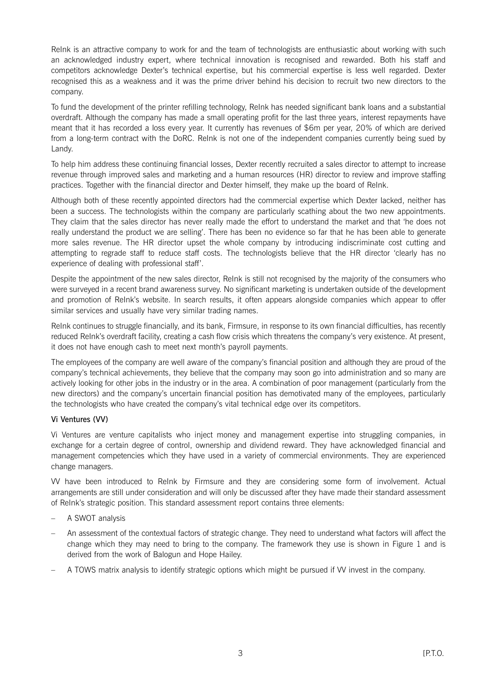ReInk is an attractive company to work for and the team of technologists are enthusiastic about working with such an acknowledged industry expert, where technical innovation is recognised and rewarded. Both his staff and competitors acknowledge Dexter's technical expertise, but his commercial expertise is less well regarded. Dexter recognised this as a weakness and it was the prime driver behind his decision to recruit two new directors to the company.

To fund the development of the printer refilling technology, ReInk has needed significant bank loans and a substantial overdraft. Although the company has made a small operating profit for the last three years, interest repayments have meant that it has recorded a loss every year. It currently has revenues of \$6m per year, 20% of which are derived from a long-term contract with the DoRC. ReInk is not one of the independent companies currently being sued by Landy.

To help him address these continuing financial losses, Dexter recently recruited a sales director to attempt to increase revenue through improved sales and marketing and a human resources (HR) director to review and improve staffing practices. Together with the financial director and Dexter himself, they make up the board of ReInk.

Although both of these recently appointed directors had the commercial expertise which Dexter lacked, neither has been a success. The technologists within the company are particularly scathing about the two new appointments. They claim that the sales director has never really made the effort to understand the market and that 'he does not really understand the product we are selling'. There has been no evidence so far that he has been able to generate more sales revenue. The HR director upset the whole company by introducing indiscriminate cost cutting and attempting to regrade staff to reduce staff costs. The technologists believe that the HR director 'clearly has no experience of dealing with professional staff'.

Despite the appointment of the new sales director, ReInk is still not recognised by the majority of the consumers who were surveyed in a recent brand awareness survey. No significant marketing is undertaken outside of the development and promotion of ReInk's website. In search results, it often appears alongside companies which appear to offer similar services and usually have very similar trading names.

ReInk continues to struggle financially, and its bank, Firmsure, in response to its own financial difficulties, has recently reduced ReInk's overdraft facility, creating a cash flow crisis which threatens the company's very existence. At present, it does not have enough cash to meet next month's payroll payments.

The employees of the company are well aware of the company's financial position and although they are proud of the company's technical achievements, they believe that the company may soon go into administration and so many are actively looking for other jobs in the industry or in the area. A combination of poor management (particularly from the new directors) and the company's uncertain financial position has demotivated many of the employees, particularly the technologists who have created the company's vital technical edge over its competitors.

#### Vi Ventures (VV)

Vi Ventures are venture capitalists who inject money and management expertise into struggling companies, in exchange for a certain degree of control, ownership and dividend reward. They have acknowledged financial and management competencies which they have used in a variety of commercial environments. They are experienced change managers.

VV have been introduced to ReInk by Firmsure and they are considering some form of involvement. Actual arrangements are still under consideration and will only be discussed after they have made their standard assessment of ReInk's strategic position. This standard assessment report contains three elements:

- A SWOT analysis
- An assessment of the contextual factors of strategic change. They need to understand what factors will affect the change which they may need to bring to the company. The framework they use is shown in Figure 1 and is derived from the work of Balogun and Hope Hailey.
- A TOWS matrix analysis to identify strategic options which might be pursued if VV invest in the company.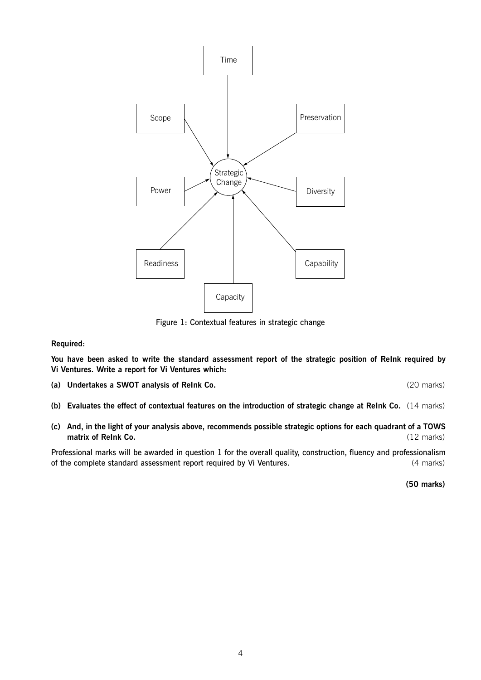

Figure 1: Contextual features in strategic change

#### **Required:**

**You have been asked to write the standard assessment report of the strategic position of ReInk required by Vi Ventures. Write a report for Vi Ventures which:**

**(a) Undertakes a SWOT analysis of ReInk Co.** (20 marks)

- **(b) Evaluates the effect of contextual features on the introduction of strategic change at ReInk Co.** (14 marks)
- **(c) And, in the light of your analysis above, recommends possible strategic options for each quadrant of a TOWS matrix of ReInk Co.** (12 marks)

Professional marks will be awarded in question 1 for the overall quality, construction, fluency and professionalism of the complete standard assessment report required by Vi Ventures. (4 marks)

**(50 marks)**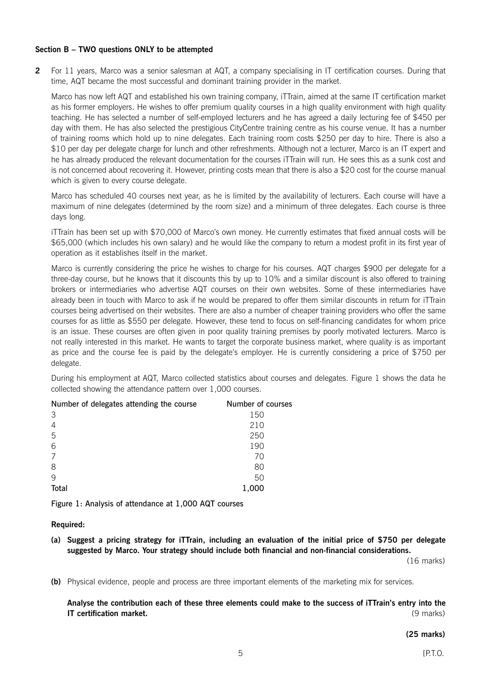#### **Section B – TWO questions ONLY to be attempted**

**2** For 11 years, Marco was a senior salesman at AQT, a company specialising in IT certification courses. During that time, AQT became the most successful and dominant training provider in the market.

Marco has now left AQT and established his own training company, iTTrain, aimed at the same IT certification market as his former employers. He wishes to offer premium quality courses in a high quality environment with high quality teaching. He has selected a number of self-employed lecturers and he has agreed a daily lecturing fee of \$450 per day with them. He has also selected the prestigious CityCentre training centre as his course venue. It has a number of training rooms which hold up to nine delegates. Each training room costs \$250 per day to hire. There is also a \$10 per day per delegate charge for lunch and other refreshments. Although not a lecturer, Marco is an IT expert and he has already produced the relevant documentation for the courses iTTrain will run. He sees this as a sunk cost and is not concerned about recovering it. However, printing costs mean that there is also a \$20 cost for the course manual which is given to every course delegate.

Marco has scheduled 40 courses next year, as he is limited by the availability of lecturers. Each course will have a maximum of nine delegates (determined by the room size) and a minimum of three delegates. Each course is three days long.

iTTrain has been set up with \$70,000 of Marco's own money. He currently estimates that fixed annual costs will be \$65,000 (which includes his own salary) and he would like the company to return a modest profit in its first year of operation as it establishes itself in the market.

Marco is currently considering the price he wishes to charge for his courses. AQT charges \$900 per delegate for a three-day course, but he knows that it discounts this by up to 10% and a similar discount is also offered to training brokers or intermediaries who advertise AQT courses on their own websites. Some of these intermediaries have already been in touch with Marco to ask if he would be prepared to offer them similar discounts in return for iTTrain courses being advertised on their websites. There are also a number of cheaper training providers who offer the same courses for as little as \$550 per delegate. However, these tend to focus on self-financing candidates for whom price is an issue. These courses are often given in poor quality training premises by poorly motivated lecturers. Marco is not really interested in this market. He wants to target the corporate business market, where quality is as important as price and the course fee is paid by the delegate's employer. He is currently considering a price of \$750 per delegate.

During his employment at AQT, Marco collected statistics about courses and delegates. Figure 1 shows the data he collected showing the attendance pattern over 1,000 courses.

| Number of delegates attending the course | Number of courses |
|------------------------------------------|-------------------|
| 3                                        | 150               |
| 4                                        | 210               |
| 5                                        | 250               |
| 6                                        | 190               |
|                                          | 70                |
| 8                                        | 80                |
| 9                                        | 50                |
| Total                                    | 1,000             |

Figure 1: Analysis of attendance at 1,000 AQT courses

#### **Required:**

**(a) Suggest a pricing strategy for iTTrain, including an evaluation of the initial price of \$750 per delegate suggested by Marco. Your strategy should include both financial and non-financial considerations.**

(16 marks)

**(b)** Physical evidence, people and process are three important elements of the marketing mix for services.

#### **Analyse the contribution each of these three elements could make to the success of iTTrain's entry into the IT certification market.** (9 marks)

**(25 marks)**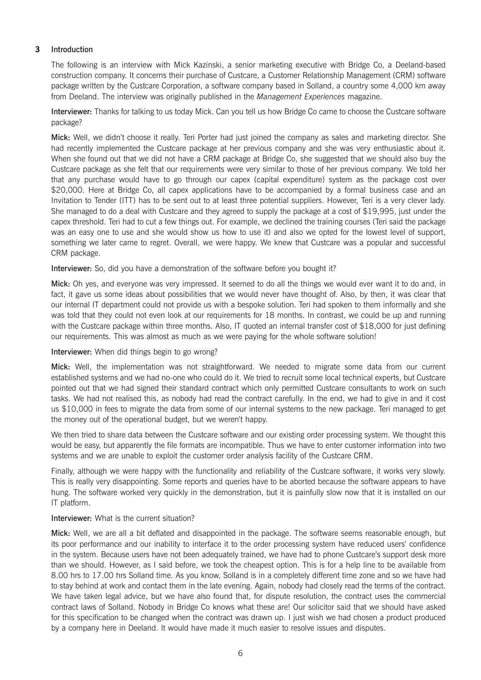#### **3** Introduction

The following is an interview with Mick Kazinski, a senior marketing executive with Bridge Co, a Deeland-based construction company. It concerns their purchase of Custcare, a Customer Relationship Management (CRM) software package written by the Custcare Corporation, a software company based in Solland, a country some 4,000 km away from Deeland. The interview was originally published in the *Management Experiences* magazine.

Interviewer: Thanks for talking to us today Mick. Can you tell us how Bridge Co came to choose the Custcare software package?

Mick: Well, we didn't choose it really. Teri Porter had just joined the company as sales and marketing director. She had recently implemented the Custcare package at her previous company and she was very enthusiastic about it. When she found out that we did not have a CRM package at Bridge Co, she suggested that we should also buy the Custcare package as she felt that our requirements were very similar to those of her previous company. We told her that any purchase would have to go through our capex (capital expenditure) system as the package cost over \$20,000. Here at Bridge Co, all capex applications have to be accompanied by a formal business case and an Invitation to Tender (ITT) has to be sent out to at least three potential suppliers. However, Teri is a very clever lady. She managed to do a deal with Custcare and they agreed to supply the package at a cost of \$19,995, just under the capex threshold. Teri had to cut a few things out. For example, we declined the training courses (Teri said the package was an easy one to use and she would show us how to use it) and also we opted for the lowest level of support, something we later came to regret. Overall, we were happy. We knew that Custcare was a popular and successful CRM package.

Interviewer: So, did you have a demonstration of the software before you bought it?

Mick: Oh yes, and everyone was very impressed. It seemed to do all the things we would ever want it to do and, in fact, it gave us some ideas about possibilities that we would never have thought of. Also, by then, it was clear that our internal IT department could not provide us with a bespoke solution. Teri had spoken to them informally and she was told that they could not even look at our requirements for 18 months. In contrast, we could be up and running with the Custcare package within three months. Also, IT quoted an internal transfer cost of \$18,000 for just defining our requirements. This was almost as much as we were paying for the whole software solution!

#### Interviewer: When did things begin to go wrong?

Mick: Well, the implementation was not straightforward. We needed to migrate some data from our current established systems and we had no-one who could do it. We tried to recruit some local technical experts, but Custcare pointed out that we had signed their standard contract which only permitted Custcare consultants to work on such tasks. We had not realised this, as nobody had read the contract carefully. In the end, we had to give in and it cost us \$10,000 in fees to migrate the data from some of our internal systems to the new package. Teri managed to get the money out of the operational budget, but we weren't happy.

We then tried to share data between the Custcare software and our existing order processing system. We thought this would be easy, but apparently the file formats are incompatible. Thus we have to enter customer information into two systems and we are unable to exploit the customer order analysis facility of the Custcare CRM.

Finally, although we were happy with the functionality and reliability of the Custcare software, it works very slowly. This is really very disappointing. Some reports and queries have to be aborted because the software appears to have hung. The software worked very quickly in the demonstration, but it is painfully slow now that it is installed on our IT platform.

#### Interviewer: What is the current situation?

Mick: Well, we are all a bit deflated and disappointed in the package. The software seems reasonable enough, but its poor performance and our inability to interface it to the order processing system have reduced users' confidence in the system. Because users have not been adequately trained, we have had to phone Custcare's support desk more than we should. However, as I said before, we took the cheapest option. This is for a help line to be available from 8.00 hrs to 17.00 hrs Solland time. As you know, Solland is in a completely different time zone and so we have had to stay behind at work and contact them in the late evening. Again, nobody had closely read the terms of the contract. We have taken legal advice, but we have also found that, for dispute resolution, the contract uses the commercial contract laws of Solland. Nobody in Bridge Co knows what these are! Our solicitor said that we should have asked for this specification to be changed when the contract was drawn up. I just wish we had chosen a product produced by a company here in Deeland. It would have made it much easier to resolve issues and disputes.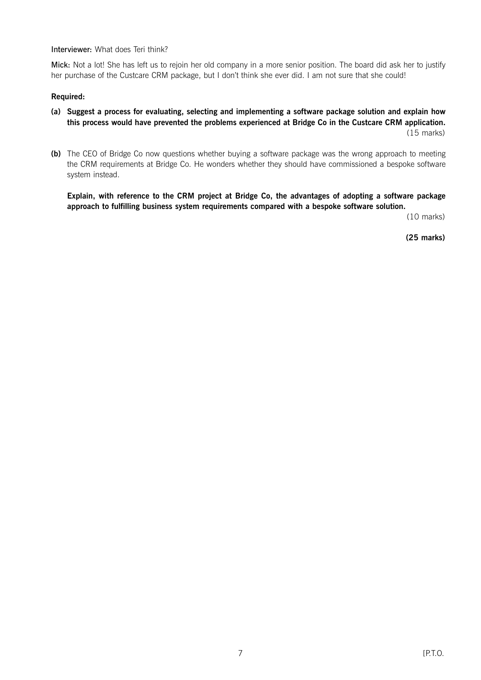#### Interviewer: What does Teri think?

Mick: Not a lot! She has left us to rejoin her old company in a more senior position. The board did ask her to justify her purchase of the Custcare CRM package, but I don't think she ever did. I am not sure that she could!

#### **Required:**

- **(a) Suggest a process for evaluating, selecting and implementing a software package solution and explain how this process would have prevented the problems experienced at Bridge Co in the Custcare CRM application.** (15 marks)
- **(b)** The CEO of Bridge Co now questions whether buying a software package was the wrong approach to meeting the CRM requirements at Bridge Co. He wonders whether they should have commissioned a bespoke software system instead.

**Explain, with reference to the CRM project at Bridge Co, the advantages of adopting a software package approach to fulfilling business system requirements compared with a bespoke software solution.**

(10 marks)

**(25 marks)**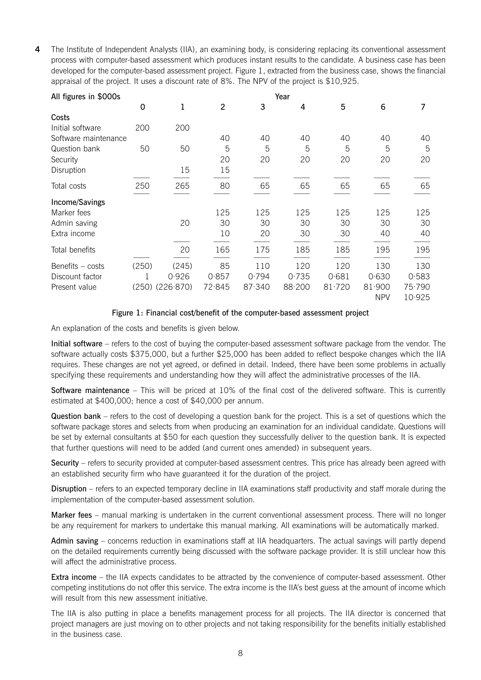**4** The Institute of Independent Analysts (IIA), an examining body, is considering replacing its conventional assessment process with computer-based assessment which produces instant results to the candidate. A business case has been developed for the computer-based assessment project. Figure 1, extracted from the business case, shows the financial appraisal of the project. It uses a discount rate of 8%. The NPV of the project is \$10,925.

| All figures in \$000s | Year  |                     |                |        |        |        |            |        |
|-----------------------|-------|---------------------|----------------|--------|--------|--------|------------|--------|
|                       | 0     | 1                   | $\overline{2}$ | 3      | 4      | 5      | 6          |        |
| Costs                 |       |                     |                |        |        |        |            |        |
| Initial software      | 200   | 200                 |                |        |        |        |            |        |
| Software maintenance  |       |                     | 40             | 40     | 40     | 40     | 40         | 40     |
| Question bank         | 50    | 50                  | 5              | 5      | 5      | 5      | 5          | 5      |
| Security              |       |                     | 20             | 20     | 20     | 20     | 20         | 20     |
| Disruption            |       | 15                  | 15             |        |        |        |            |        |
| Total costs           | 250   | 265                 | 80             | 65     | 65     | 65     | 65         | 65     |
| Income/Savings        |       |                     |                |        |        |        |            |        |
| Marker fees           |       |                     | 125            | 125    | 125    | 125    | 125        | 125    |
| Admin saving          |       | 20                  | 30             | 30     | 30     | 30     | 30         | 30     |
| Extra income          |       |                     | 10             | 20     | 30     | 30     | 40         | 40     |
| Total benefits        |       | 20                  | 165            | 175    | 185    | 185    | 195        | 195    |
| Benefits $-$ costs    | (250) | (245)               | 85             | 110    | 120    | 120    | 130        | 130    |
| Discount factor       |       | 0.926               | 0.857          | 0.794  | 0.735  | 0.681  | 0.630      | 0.583  |
| Present value         |       | $(250)$ $(226.870)$ | 72.845         | 87.340 | 88.200 | 81.720 | 81.900     | 75.790 |
|                       |       |                     |                |        |        |        | <b>NPV</b> | 10.925 |

#### Figure 1: Financial cost/benefit of the computer-based assessment project

An explanation of the costs and benefits is given below.

Initial software – refers to the cost of buying the computer-based assessment software package from the vendor. The software actually costs \$375,000, but a further \$25,000 has been added to reflect bespoke changes which the IIA requires. These changes are not yet agreed, or defined in detail. Indeed, there have been some problems in actually specifying these requirements and understanding how they will affect the administrative processes of the IIA.

Software maintenance – This will be priced at 10% of the final cost of the delivered software. This is currently estimated at \$400,000; hence a cost of \$40,000 per annum.

Question bank – refers to the cost of developing a question bank for the project. This is a set of questions which the software package stores and selects from when producing an examination for an individual candidate. Questions will be set by external consultants at \$50 for each question they successfully deliver to the question bank. It is expected that further questions will need to be added (and current ones amended) in subsequent years.

Security - refers to security provided at computer-based assessment centres. This price has already been agreed with an established security firm who have guaranteed it for the duration of the project.

Disruption – refers to an expected temporary decline in IIA examinations staff productivity and staff morale during the implementation of the computer-based assessment solution.

Marker fees – manual marking is undertaken in the current conventional assessment process. There will no longer be any requirement for markers to undertake this manual marking. All examinations will be automatically marked.

Admin saving – concerns reduction in examinations staff at IIA headquarters. The actual savings will partly depend on the detailed requirements currently being discussed with the software package provider. It is still unclear how this will affect the administrative process.

Extra income – the IIA expects candidates to be attracted by the convenience of computer-based assessment. Other competing institutions do not offer this service. The extra income is the IIA's best guess at the amount of income which will result from this new assessment initiative.

The IIA is also putting in place a benefits management process for all projects. The IIA director is concerned that project managers are just moving on to other projects and not taking responsibility for the benefits initially established in the business case.